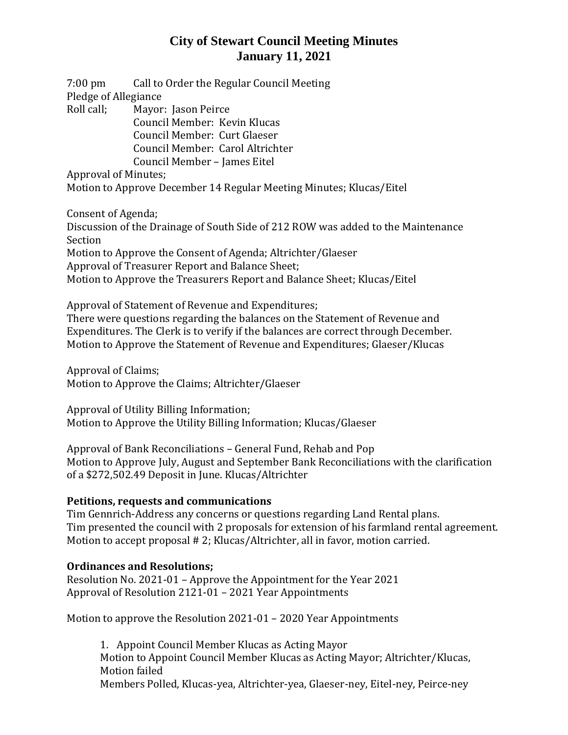# **City of Stewart Council Meeting Minutes January 11, 2021**

7:00 pm Call to Order the Regular Council Meeting Pledge of Allegiance Roll call; Mayor: Jason Peirce Council Member: Kevin Klucas Council Member: Curt Glaeser Council Member: Carol Altrichter Council Member – James Eitel

Approval of Minutes;

Motion to Approve December 14 Regular Meeting Minutes; Klucas/Eitel

Consent of Agenda;

Discussion of the Drainage of South Side of 212 ROW was added to the Maintenance Section Motion to Approve the Consent of Agenda; Altrichter/Glaeser Approval of Treasurer Report and Balance Sheet;

Motion to Approve the Treasurers Report and Balance Sheet; Klucas/Eitel

Approval of Statement of Revenue and Expenditures;

There were questions regarding the balances on the Statement of Revenue and Expenditures. The Clerk is to verify if the balances are correct through December. Motion to Approve the Statement of Revenue and Expenditures; Glaeser/Klucas

Approval of Claims; Motion to Approve the Claims; Altrichter/Glaeser

Approval of Utility Billing Information; Motion to Approve the Utility Billing Information; Klucas/Glaeser

Approval of Bank Reconciliations – General Fund, Rehab and Pop Motion to Approve July, August and September Bank Reconciliations with the clarification of a \$272,502.49 Deposit in June. Klucas/Altrichter

#### **Petitions, requests and communications**

Tim Gennrich-Address any concerns or questions regarding Land Rental plans. Tim presented the council with 2 proposals for extension of his farmland rental agreement. Motion to accept proposal # 2; Klucas/Altrichter, all in favor, motion carried.

#### **Ordinances and Resolutions;**

Resolution No. 2021-01 – Approve the Appointment for the Year 2021 Approval of Resolution 2121-01 – 2021 Year Appointments

Motion to approve the Resolution 2021-01 – 2020 Year Appointments

1. Appoint Council Member Klucas as Acting Mayor Motion to Appoint Council Member Klucas as Acting Mayor; Altrichter/Klucas, Motion failed Members Polled, Klucas-yea, Altrichter-yea, Glaeser-ney, Eitel-ney, Peirce-ney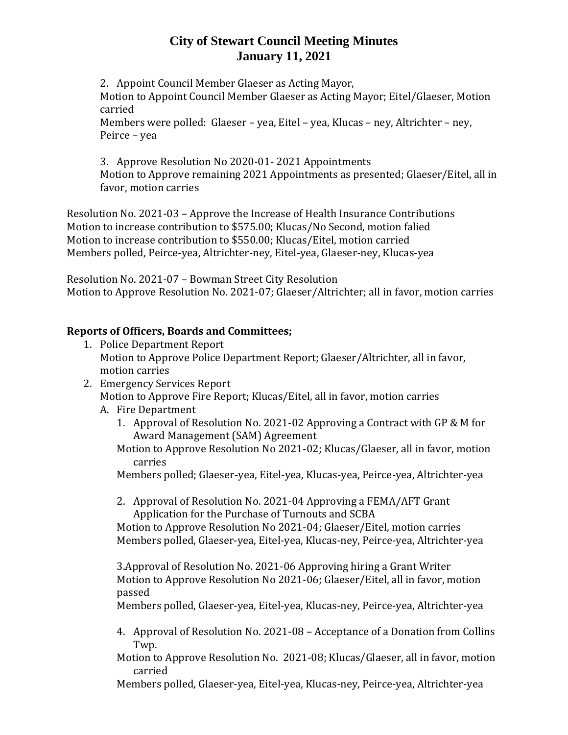# **City of Stewart Council Meeting Minutes January 11, 2021**

2. Appoint Council Member Glaeser as Acting Mayor,

Motion to Appoint Council Member Glaeser as Acting Mayor; Eitel/Glaeser, Motion carried

Members were polled: Glaeser – yea, Eitel – yea, Klucas – ney, Altrichter – ney, Peirce – yea

3. Approve Resolution No 2020-01- 2021 Appointments Motion to Approve remaining 2021 Appointments as presented; Glaeser/Eitel, all in favor, motion carries

Resolution No. 2021-03 – Approve the Increase of Health Insurance Contributions Motion to increase contribution to \$575.00; Klucas/No Second, motion falied Motion to increase contribution to \$550.00; Klucas/Eitel, motion carried Members polled, Peirce-yea, Altrichter-ney, Eitel-yea, Glaeser-ney, Klucas-yea

Resolution No. 2021-07 – Bowman Street City Resolution Motion to Approve Resolution No. 2021-07; Glaeser/Altrichter; all in favor, motion carries

### **Reports of Officers, Boards and Committees;**

- 1. Police Department Report Motion to Approve Police Department Report; Glaeser/Altrichter, all in favor, motion carries
- 2. Emergency Services Report Motion to Approve Fire Report; Klucas/Eitel, all in favor, motion carries
	- A. Fire Department
		- 1. Approval of Resolution No. 2021-02 Approving a Contract with GP & M for Award Management (SAM) Agreement
		- Motion to Approve Resolution No 2021-02; Klucas/Glaeser, all in favor, motion carries
		- Members polled; Glaeser-yea, Eitel-yea, Klucas-yea, Peirce-yea, Altrichter-yea
		- 2. Approval of Resolution No. 2021-04 Approving a FEMA/AFT Grant Application for the Purchase of Turnouts and SCBA

Motion to Approve Resolution No 2021-04; Glaeser/Eitel, motion carries Members polled, Glaeser-yea, Eitel-yea, Klucas-ney, Peirce-yea, Altrichter-yea

3.Approval of Resolution No. 2021-06 Approving hiring a Grant Writer Motion to Approve Resolution No 2021-06; Glaeser/Eitel, all in favor, motion passed

Members polled, Glaeser-yea, Eitel-yea, Klucas-ney, Peirce-yea, Altrichter-yea

- 4. Approval of Resolution No. 2021-08 Acceptance of a Donation from Collins Twp.
- Motion to Approve Resolution No. 2021-08; Klucas/Glaeser, all in favor, motion carried
- Members polled, Glaeser-yea, Eitel-yea, Klucas-ney, Peirce-yea, Altrichter-yea